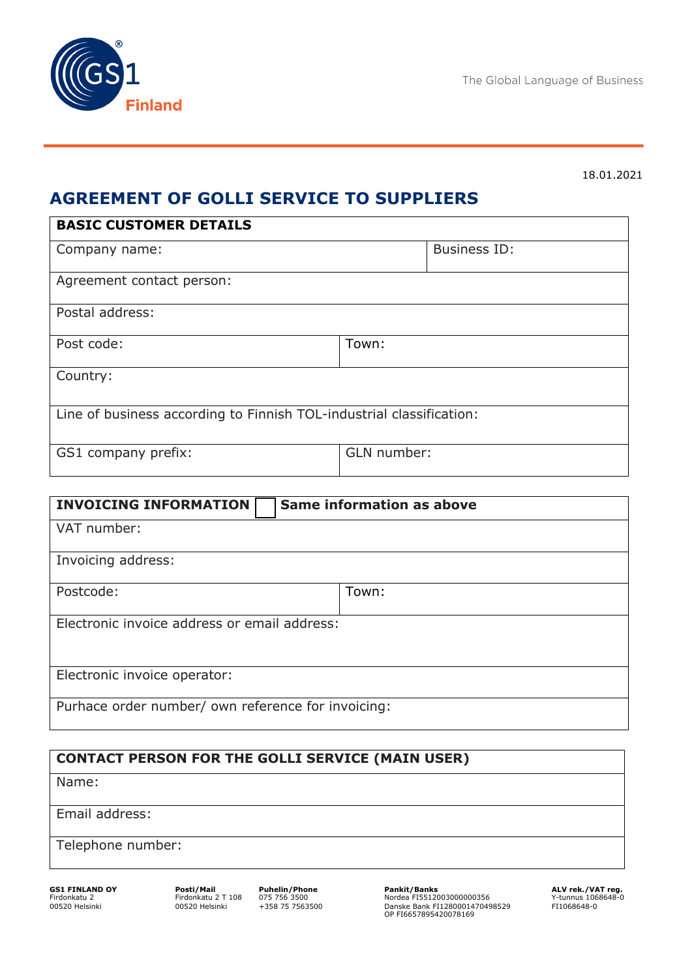

#### 18.01.2021

# **AGREEMENT OF GOLLI SERVICE TO SUPPLIERS**

| <b>BASIC CUSTOMER DETAILS</b>                                        |             |                     |  |
|----------------------------------------------------------------------|-------------|---------------------|--|
| Company name:                                                        |             | <b>Business ID:</b> |  |
| Agreement contact person:                                            |             |                     |  |
| Postal address:                                                      |             |                     |  |
| Post code:                                                           | Town:       |                     |  |
| Country:                                                             |             |                     |  |
| Line of business according to Finnish TOL-industrial classification: |             |                     |  |
| GS1 company prefix:                                                  | GLN number: |                     |  |

| <b>INVOICING INFORMATION</b>                       | <b>Same information as above</b> |  |
|----------------------------------------------------|----------------------------------|--|
| VAT number:                                        |                                  |  |
| Invoicing address:                                 |                                  |  |
| Postcode:                                          | Town:                            |  |
| Electronic invoice address or email address:       |                                  |  |
| Electronic invoice operator:                       |                                  |  |
| Purhace order number/ own reference for invoicing: |                                  |  |

### **CONTACT PERSON FOR THE GOLLI SERVICE (MAIN USER)**

Name:

Email address:

Telephone number:

**GS1 FINLAND OY Posti/Mail Puhelin/Phone Pankit/Banks ALV rek./VAT reg.** Firdonkatu 2 Firdonkatu 2 T 108 075 756 3500 Nordea FI5512003000000356 Y-tunnus 1068648-0 00520 Helsinki 00520 Helsinki +358 75 7563500 Danske Bank FI1280001470498529 FI1068648-0 OP FI6657895420078169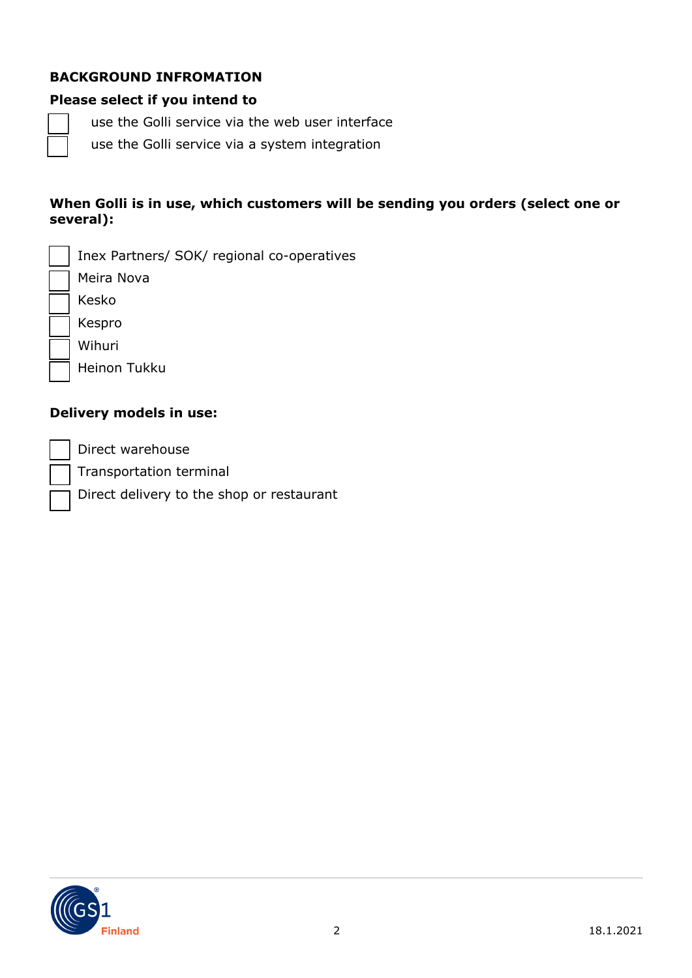### **BACKGROUND INFROMATION**

#### **Please select if you intend to**

use the Golli service via the web user interface

use the Golli service via a system integration

#### **When Golli is in use, which customers will be sending you orders (select one or several):**

| Inex Partners/ SOK/ regional co-operatives |
|--------------------------------------------|
| Meira Nova                                 |
| Kesko                                      |
| Kespro                                     |
| Wihuri                                     |
| <b>Heinon Tukku</b>                        |
|                                            |

### **Delivery models in use:**

Direct warehouse

Transportation terminal

Direct delivery to the shop or restaurant